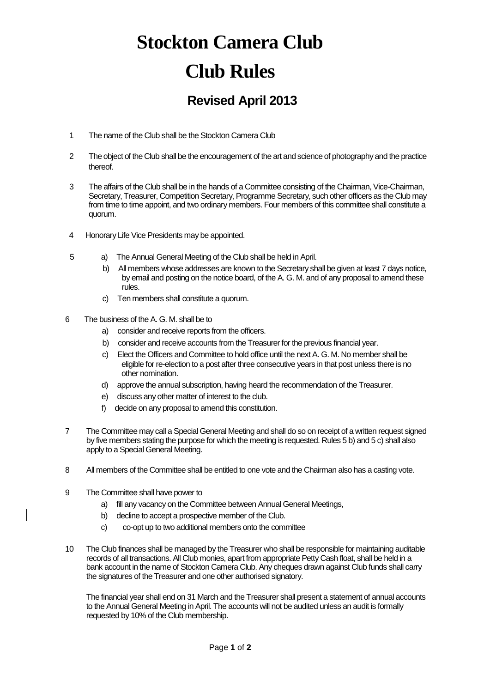## **Stockton Camera Club Club Rules**

## **Revised April 2013**

- 1 The name of the Club shall be the Stockton Camera Club
- 2 The object of the Club shall be the encouragement of the art and science of photography and the practice thereof.
- 3 The affairs of the Club shall be in the hands of a Committee consisting of the Chairman, Vice-Chairman, Secretary, Treasurer, Competition Secretary, Programme Secretary, such other officers as the Club may from time to time appoint, and two ordinary members. Four members of this committee shall constitute a quorum.
- 4 Honorary Life Vice Presidents may be appointed.
- 5 a) The Annual General Meeting of the Club shall be held in April.
	- b) All members whose addresses are known to the Secretary shall be given at least 7 days notice, by email and posting on the notice board, of the A. G. M. and of any proposal to amend these rules.
	- c) Ten members shall constitute a quorum.
- 6 The business of the A. G. M. shall be to
	- a) consider and receive reports from the officers.
	- b) consider and receive accounts from the Treasurer for the previous financial year.
	- c) Elect the Officers and Committee to hold office until the next A. G. M. No member shall be eligible for re-election to a post after three consecutive years in that post unless there is no other nomination.
	- d) approve the annual subscription, having heard the recommendation of the Treasurer.
	- e) discuss any other matter of interest to the club.
	- f) decide on any proposal to amend this constitution.
- 7 The Committee may call a Special General Meeting and shall do so on receipt of a written request signed by five members stating the purpose for which the meeting is requested. Rules 5 b) and 5 c) shall also apply to a Special General Meeting.
- 8 All members of the Committee shall be entitled to one vote and the Chairman also has a casting vote.
- 9 The Committee shall have power to
	- a) fill any vacancy on the Committee between Annual General Meetings,
	- b) decline to accept a prospective member of the Club.
	- c) co-opt up to two additional members onto the committee
- 10 The Club finances shall be managed by the Treasurer who shall be responsible for maintaining auditable records of all transactions. All Club monies, apart from appropriate Petty Cash float, shall be held in a bank account in the name of Stockton Camera Club. Any cheques drawn against Club funds shall carry the signatures of the Treasurer and one other authorised signatory.

The financial year shall end on 31 March and the Treasurer shall present a statement of annual accounts to the Annual General Meeting in April. The accounts will not be audited unless an audit is formally requested by 10% of the Club membership.